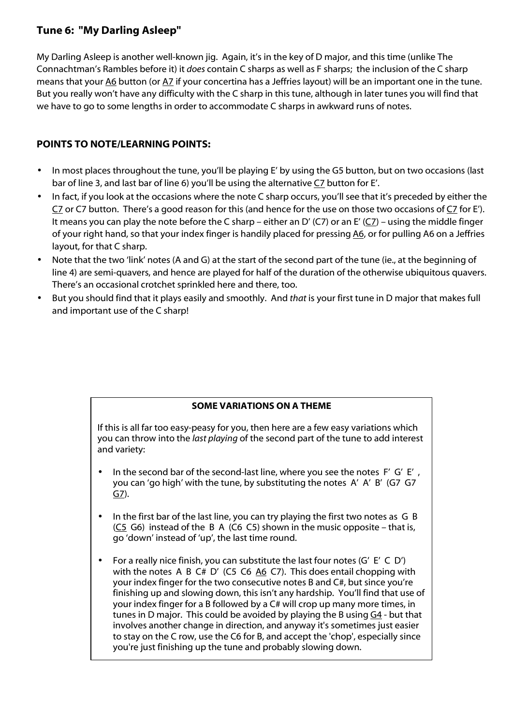## **Tune 6: "My Darling Asleep"**

My Darling Asleep is another well-known jig. Again, it's in the key of D major, and this time (unlike The Connachtman's Rambles before it) it *does* contain C sharps as well as F sharps; the inclusion of the C sharp means that your A6 button (or A7 if your concertina has a Jeffries layout) will be an important one in the tune. But you really won't have any difficulty with the C sharp in this tune, although in later tunes you will find that we have to go to some lengths in order to accommodate C sharps in awkward runs of notes.

## **POINTS TO NOTE/LEARNING POINTS:**

- In most places throughout the tune, you'll be playing E' by using the G5 button, but on two occasions (last bar of line 3, and last bar of line 6) you'll be using the alternative C7 button for E'.
- In fact, if you look at the occasions where the note C sharp occurs, you'll see that it's preceded by either the C7 or C7 button. There's a good reason for this (and hence for the use on those two occasions of  $C_7$  for E'). It means you can play the note before the C sharp – either an D' (C7) or an E' (C7) – using the middle finger of your right hand, so that your index finger is handily placed for pressing A6, or for pulling A6 on a Jeffries layout, for that C sharp.
- Note that the two 'link' notes (A and G) at the start of the second part of the tune (ie., at the beginning of line 4) are semi-quavers, and hence are played for half of the duration of the otherwise ubiquitous quavers. There's an occasional crotchet sprinkled here and there, too.
- But you should find that it plays easily and smoothly. And *that* is your first tune in D major that makes full and important use of the C sharp!

## **SOME VARIATIONS ON A THEME**

If this is all far too easy-peasy for you, then here are a few easy variations which you can throw into the *last playing* of the second part of the tune to add interest and variety:

- In the second bar of the second-last line, where you see the notes F' G' E', you can 'go high' with the tune, by substituting the notes A' A' B' (G7 G7  $GZ$ ).
- In the first bar of the last line, you can try playing the first two notes as G B  $(C_5$  G6) instead of the B A  $(C_6 C_5)$  shown in the music opposite – that is, go 'down' instead of 'up', the last time round.
- For a really nice finish, you can substitute the last four notes (G' E' C D') with the notes A B C# D' (C5 C6 A6 C7). This does entail chopping with your index finger for the two consecutive notes B and C#, but since you're finishing up and slowing down, this isn't any hardship. You'll find that use of your index finger for a B followed by a C# will crop up many more times, in tunes in D major. This could be avoided by playing the B using G4 - but that involves another change in direction, and anyway it's sometimes just easier to stay on the C row, use the C6 for B, and accept the 'chop', especially since you're just finishing up the tune and probably slowing down.